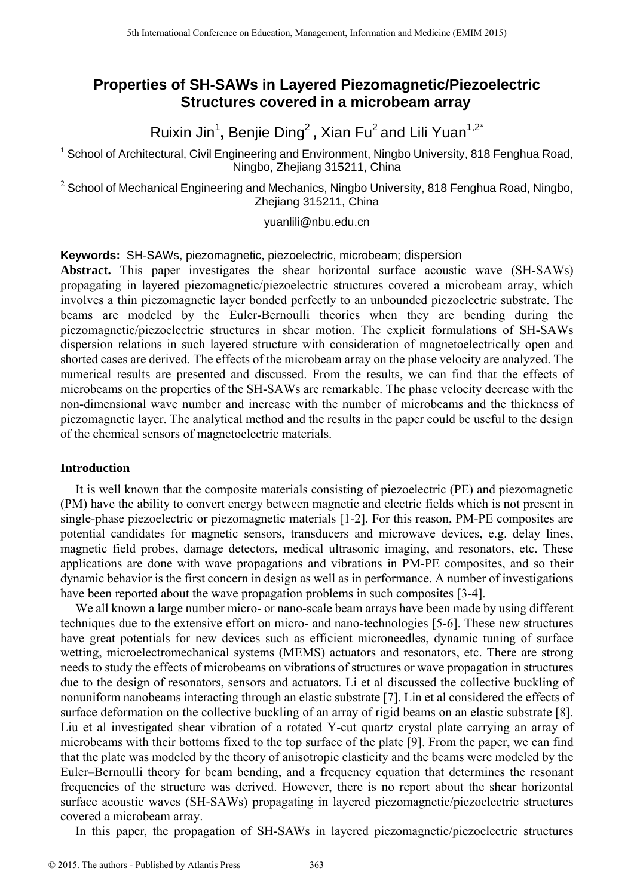# **Properties of SH-SAWs in Layered Piezomagnetic/Piezoelectric Structures covered in a microbeam array**

Ruixin Jin<sup>1</sup>, Benjie Ding<sup>2</sup>, Xian Fu<sup>2</sup> and Lili Yuan<sup>1,2\*</sup>

<sup>1</sup> School of Architectural, Civil Engineering and Environment, Ningbo University, 818 Fenghua Road, Ningbo, Zhejiang 315211, China

 $2$  School of Mechanical Engineering and Mechanics, Ningbo University, 818 Fenghua Road, Ningbo, Zhejiang 315211, China

#### yuanlili@nbu.edu.cn

**Keywords:** SH-SAWs, piezomagnetic, piezoelectric, microbeam; dispersion

**Abstract.** This paper investigates the shear horizontal surface acoustic wave (SH-SAWs) propagating in layered piezomagnetic/piezoelectric structures covered a microbeam array, which involves a thin piezomagnetic layer bonded perfectly to an unbounded piezoelectric substrate. The beams are modeled by the Euler-Bernoulli theories when they are bending during the piezomagnetic/piezoelectric structures in shear motion. The explicit formulations of SH-SAWs dispersion relations in such layered structure with consideration of magnetoelectrically open and shorted cases are derived. The effects of the microbeam array on the phase velocity are analyzed. The numerical results are presented and discussed. From the results, we can find that the effects of microbeams on the properties of the SH-SAWs are remarkable. The phase velocity decrease with the non-dimensional wave number and increase with the number of microbeams and the thickness of piezomagnetic layer. The analytical method and the results in the paper could be useful to the design of the chemical sensors of magnetoelectric materials.

# **Introduction**

It is well known that the composite materials consisting of piezoelectric (PE) and piezomagnetic (PM) have the ability to convert energy between magnetic and electric fields which is not present in single-phase piezoelectric or piezomagnetic materials [1-2]. For this reason, PM-PE composites are potential candidates for magnetic sensors, transducers and microwave devices, e.g. delay lines, magnetic field probes, damage detectors, medical ultrasonic imaging, and resonators, etc. These applications are done with wave propagations and vibrations in PM-PE composites, and so their dynamic behavior is the first concern in design as well as in performance. A number of investigations have been reported about the wave propagation problems in such composites [3-4].

We all known a large number micro- or nano-scale beam arrays have been made by using different techniques due to the extensive effort on micro- and nano-technologies [5-6]. These new structures have great potentials for new devices such as efficient microneedles, dynamic tuning of surface wetting, microelectromechanical systems (MEMS) actuators and resonators, etc. There are strong needs to study the effects of microbeams on vibrations of structures or wave propagation in structures due to the design of resonators, sensors and actuators. Li et al discussed the collective buckling of nonuniform nanobeams interacting through an elastic substrate [7]. Lin et al considered the effects of surface deformation on the collective buckling of an array of rigid beams on an elastic substrate [8]. Liu et al investigated shear vibration of a rotated Y-cut quartz crystal plate carrying an array of microbeams with their bottoms fixed to the top surface of the plate [9]. From the paper, we can find that the plate was modeled by the theory of anisotropic elasticity and the beams were modeled by the Euler–Bernoulli theory for beam bending, and a frequency equation that determines the resonant frequencies of the structure was derived. However, there is no report about the shear horizontal surface acoustic waves (SH-SAWs) propagating in layered piezomagnetic/piezoelectric structures covered a microbeam array.

In this paper, the propagation of SH-SAWs in layered piezomagnetic/piezoelectric structures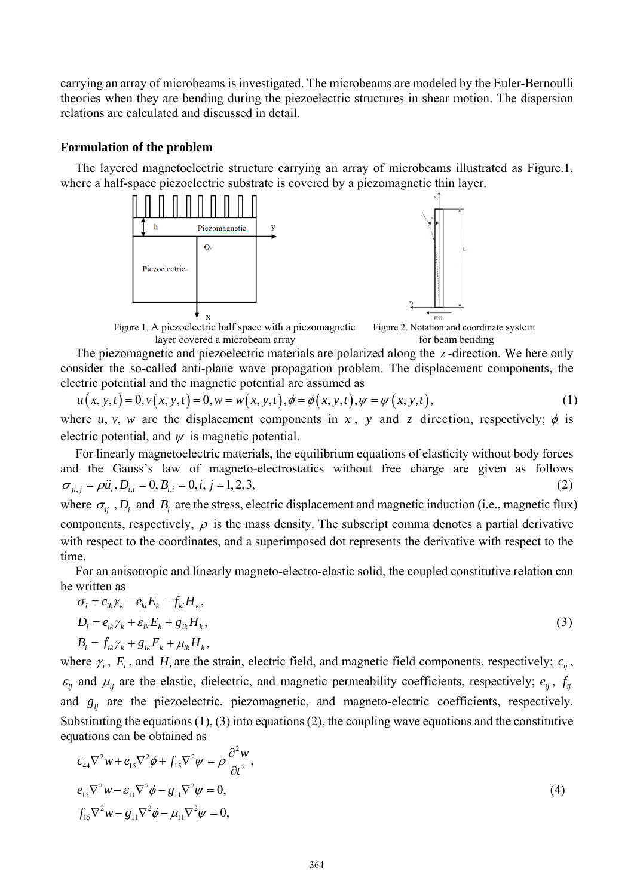carrying an array of microbeams is investigated. The microbeams are modeled by the Euler-Bernoulli theories when they are bending during the piezoelectric structures in shear motion. The dispersion relations are calculated and discussed in detail.

#### **Formulation of the problem**

The layered magnetoelectric structure carrying an array of microbeams illustrated as Figure.1, where a half-space piezoelectric substrate is covered by a piezomagnetic thin layer.



Figure 1. A piezoelectric half space with a piezomagnetic Figure 2. Notation and coordinate system layer covered a microbeam array for beam bending

The piezomagnetic and piezoelectric materials are polarized along the *z*-direction. We here only consider the so-called anti-plane wave propagation problem. The displacement components, the electric potential and the magnetic potential are assumed as

$$
u(x, y, t) = 0, v(x, y, t) = 0, w = w(x, y, t), \phi = \phi(x, y, t), \psi = \psi(x, y, t),
$$
\n(1)

where *u*, *v*, *w* are the displacement components in *x*, *y* and *z* direction, respectively;  $\phi$  is electric potential, and  $\psi$  is magnetic potential.

For linearly magnetoelectric materials, the equilibrium equations of elasticity without body forces and the Gauss's law of magneto-electrostatics without free charge are given as follows  $\sigma_{ii,j} = \rho \ddot{u}_i, D_{i,j} = 0, B_{i,j} = 0, i, j = 1,2,3,$  (2) where  $\sigma_{ii}$ , *D<sub>i</sub>* and *B<sub>i</sub>* are the stress, electric displacement and magnetic induction (i.e., magnetic flux)

components, respectively,  $\rho$  is the mass density. The subscript comma denotes a partial derivative with respect to the coordinates, and a superimposed dot represents the derivative with respect to the time.

For an anisotropic and linearly magneto-electro-elastic solid, the coupled constitutive relation can be written as

$$
\sigma_i = c_{ik}\gamma_k - e_{ki}E_k - f_{ki}H_k,
$$
  
\n
$$
D_i = e_{ik}\gamma_k + \varepsilon_{ik}E_k + g_{ik}H_k,
$$
  
\n
$$
B_i = f_{ik}\gamma_k + g_{ik}E_k + \mu_{ik}H_k,
$$
\n(3)

where  $\gamma_i$ ,  $E_i$ , and  $H_i$  are the strain, electric field, and magnetic field components, respectively;  $c_{ii}$ ,  $\varepsilon_{ij}$  and  $\mu_{ij}$  are the elastic, dielectric, and magnetic permeability coefficients, respectively;  $e_{ij}$ ,  $f_{ij}$ and  $g_{ij}$  are the piezoelectric, piezomagnetic, and magneto-electric coefficients, respectively. Substituting the equations (1), (3) into equations (2), the coupling wave equations and the constitutive equations can be obtained as

$$
c_{44}\nabla^2 w + e_{15}\nabla^2 \phi + f_{15}\nabla^2 \psi = \rho \frac{\partial^2 w}{\partial t^2},
$$
  
\n
$$
e_{15}\nabla^2 w - \varepsilon_{11}\nabla^2 \phi - g_{11}\nabla^2 \psi = 0,
$$
  
\n
$$
f_{15}\nabla^2 w - g_{11}\nabla^2 \phi - \mu_{11}\nabla^2 \psi = 0,
$$
\n(4)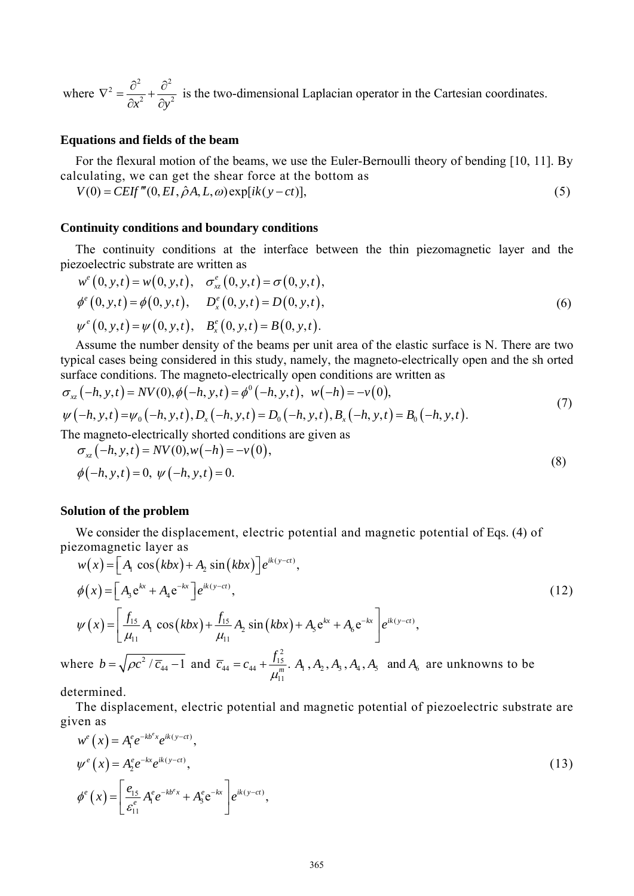where  $2\,\overline{\partial}^2$   $\overline{\partial}^2$  $x^2$   $\partial y^2$  $\nabla^2 = \frac{\partial^2}{\partial x^2} + \frac{\partial^2}{\partial y^2}$  $\partial x^2$   $\partial$ is the two-dimensional Laplacian operator in the Cartesian coordinates.

# **Equations and fields of the beam**

For the flexural motion of the beams, we use the Euler-Bernoulli theory of bending [10, 11]. By calculating, we can get the shear force at the bottom as

 $V(0) = CEIf'''(0, EI, \hat{\rho}A, L, \omega) \exp[i k(y - ct)],$  (5)

#### **Continuity conditions and boundary conditions**

The continuity conditions at the interface between the thin piezomagnetic layer and the piezoelectric substrate are written as

$$
w^e(0, y, t) = w(0, y, t), \quad \sigma_{xz}^e(0, y, t) = \sigma(0, y, t), \phi^e(0, y, t) = \phi(0, y, t), \quad D_x^e(0, y, t) = D(0, y, t), \psi^e(0, y, t) = \psi(0, y, t), \quad B_x^e(0, y, t) = B(0, y, t).
$$
\n(6)

Assume the number density of the beams per unit area of the elastic surface is N. There are two typical cases being considered in this study, namely, the magneto-electrically open and the sh orted surface conditions. The magneto-electrically open conditions are written as

$$
\sigma_{xz}(-h, y, t) = NV(0), \phi(-h, y, t) = \phi^0(-h, y, t), \quad w(-h) = -v(0),
$$
  
\n
$$
\psi(-h, y, t) = \psi_0(-h, y, t), D_x(-h, y, t) = D_0(-h, y, t), B_x(-h, y, t) = B_0(-h, y, t).
$$
\n(7)

The magneto-electrically shorted conditions are given as

$$
\sigma_{xz}(-h, y, t) = NV(0), w(-h) = -v(0),
$$
  
\n
$$
\phi(-h, y, t) = 0, \ \psi(-h, y, t) = 0.
$$
\n(8)

### **Solution of the problem**

We consider the displacement, electric potential and magnetic potential of Eqs. (4) of piezomagnetic layer as

$$
w(x) = [A_1 \cos(kbx) + A_2 \sin(kbx)]e^{ik(y-ct)},
$$
  
\n
$$
\phi(x) = [A_3 e^{kx} + A_4 e^{-kx}]e^{ik(y-ct)},
$$
  
\n
$$
\psi(x) = \left[\frac{f_{15}}{\mu_{11}}A_1 \cos(kbx) + \frac{f_{15}}{\mu_{11}}A_2 \sin(kbx) + A_5 e^{kx} + A_6 e^{-kx}\right]e^{ik(y-ct)},
$$
\n(12)

where  $b = \sqrt{\rho c^2 / \overline{c}_{44}} - 1$  and  $\overline{c}_{44} = c_{44} + \frac{J_{15}}{m}$ 11  $\overline{c}_{44} = c_{44} + \frac{f_{15}^2}{f_{15}^2}$ .  $= c_{44} + \frac{J_{15}}{\mu_{11}^m}$ . *A*<sub>1</sub>, *A*<sub>2</sub>, *A*<sub>3</sub>, *A*<sub>4</sub>, *A*<sub>5</sub> and *A*<sub>6</sub> are unknowns to be

determined.

The displacement, electric potential and magnetic potential of piezoelectric substrate are given as

$$
w^{e}(x) = A_{1}^{e} e^{-kb^{e}x} e^{ik(y-ct)},
$$
  
\n
$$
\psi^{e}(x) = A_{2}^{e} e^{-kx} e^{ik(y-ct)},
$$
  
\n
$$
\phi^{e}(x) = \left[ \frac{e_{15}}{\varepsilon_{11}^{e}} A_{1}^{e} e^{-kb^{e}x} + A_{3}^{e} e^{-kx} \right] e^{ik(y-ct)},
$$
\n(13)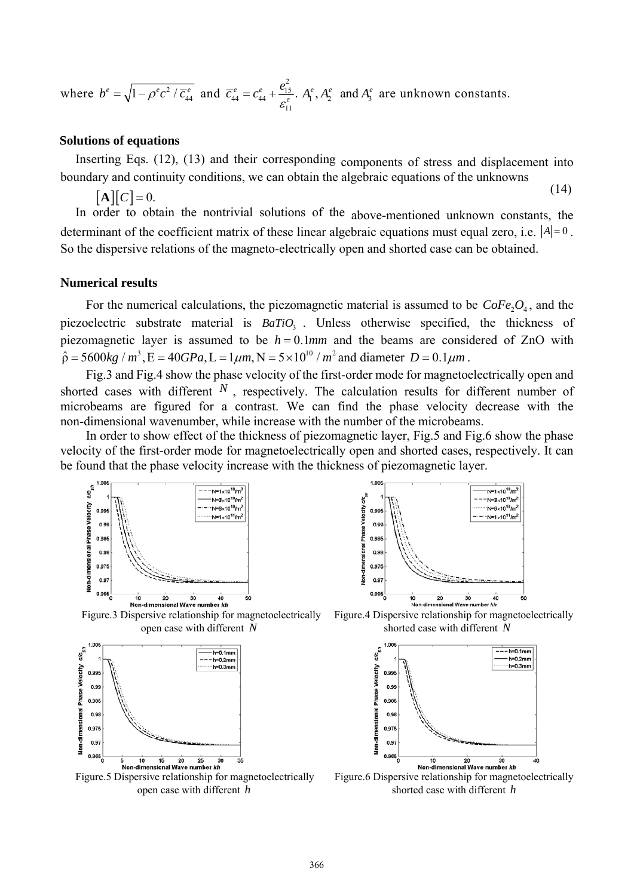where  $b^e = \sqrt{1 - \rho^e c^2 / \overline{c}_{44}^e}$  and  $\overline{c}_{44}^e = c_{44}^e + \frac{e_{14}^2}{\sigma_{44}^e}$  $\frac{e}{44} = c_{44}^e + \frac{e_{15}^e}{e_{44}^e}$ 11  $e_{44}^e = C_{44}^e + \frac{e_{15}^e}{e^e}.$  $\overline{c}_{44}^e = c_{44}^e + \frac{e_{15}^2}{\varepsilon_{12}^e}$ .  $A_1^e$ ,  $A_2^e$  and  $A_3^e$  are unknown constants.

#### **Solutions of equations**

Inserting Eqs. (12), (13) and their corresponding components of stress and displacement into boundary and continuity conditions, we can obtain the algebraic equations of the unknowns

 $[A][C] = 0.$  (14)

In order to obtain the nontrivial solutions of the above-mentioned unknown constants, the determinant of the coefficient matrix of these linear algebraic equations must equal zero, i.e.  $|A| = 0$ . So the dispersive relations of the magneto-electrically open and shorted case can be obtained.

#### **Numerical results**

For the numerical calculations, the piezomagnetic material is assumed to be  $CoFe<sub>2</sub>O<sub>4</sub>$ , and the piezoelectric substrate material is *BaTiO*<sub>3</sub>. Unless otherwise specified, the thickness of piezomagnetic layer is assumed to be  $h = 0.1$  *mm* and the beams are considered of ZnO with  $\hat{p} = 5600kg / m^3$ ,  $E = 40GPa$ ,  $L = 1 \mu m$ ,  $N = 5 \times 10^{10} / m^2$  and diameter  $D = 0.1 \mu m$ .

Fig.3 and Fig.4 show the phase velocity of the first-order mode for magnetoelectrically open and shorted cases with different *N* , respectively. The calculation results for different number of microbeams are figured for a contrast. We can find the phase velocity decrease with the non-dimensional wavenumber, while increase with the number of the microbeams.

In order to show effect of the thickness of piezomagnetic layer, Fig.5 and Fig.6 show the phase velocity of the first-order mode for magnetoelectrically open and shorted cases, respectively. It can be found that the phase velocity increase with the thickness of piezomagnetic layer.







open case with different *N* shorted case with different *N*



Figure.5 Dispersive relationship for magnetoelectrically Figure.6 Dispersive relationship for magnetoelectrically Figure.6 Dispersive relationship for magnetoelectrically open case with different *h* shorted case with different *h*